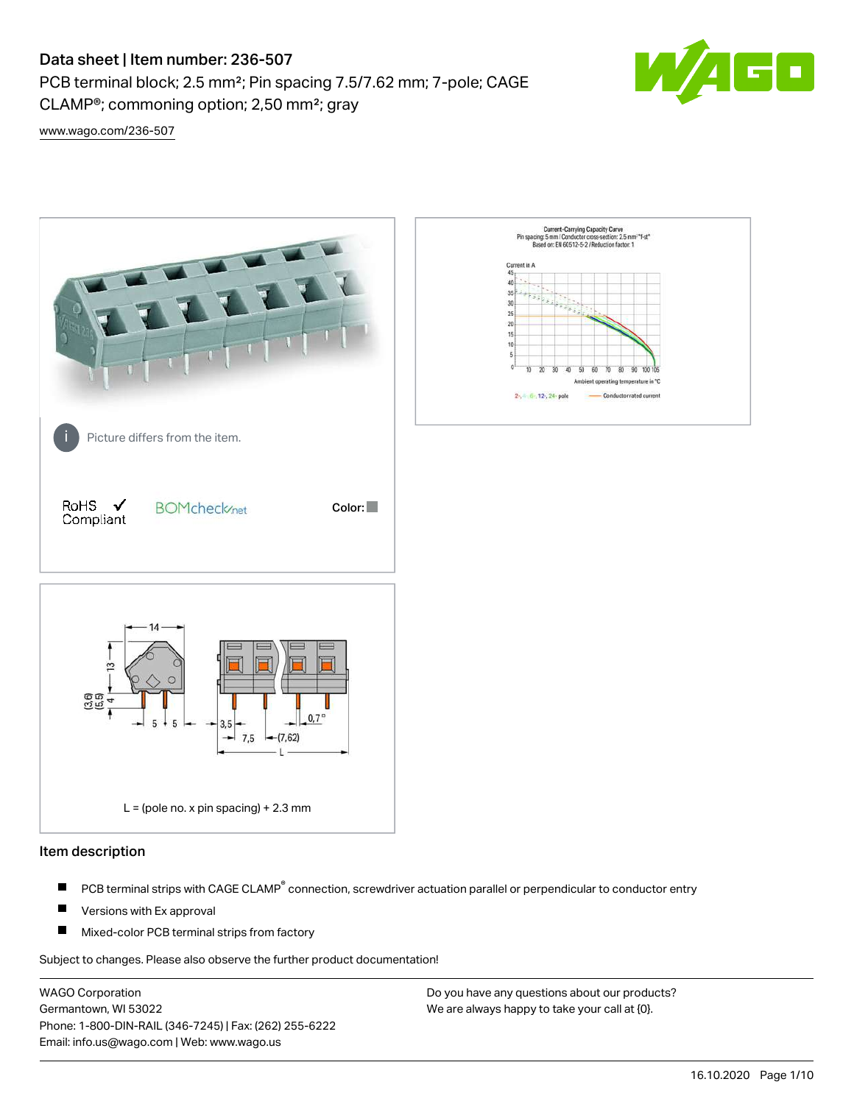PCB terminal block; 2.5 mm²; Pin spacing 7.5/7.62 mm; 7-pole; CAGE CLAMP®; commoning option; 2,50 mm²; gray



[www.wago.com/236-507](http://www.wago.com/236-507)



#### Item description

- PCB terminal strips with CAGE CLAMP<sup>®</sup> connection, screwdriver actuation parallel or perpendicular to conductor entry П
- П Versions with Ex approval
- П Mixed-color PCB terminal strips from factory

Subject to changes. Please also observe the further product documentation!

WAGO Corporation Germantown, WI 53022 Phone: 1-800-DIN-RAIL (346-7245) | Fax: (262) 255-6222 Email: info.us@wago.com | Web: www.wago.us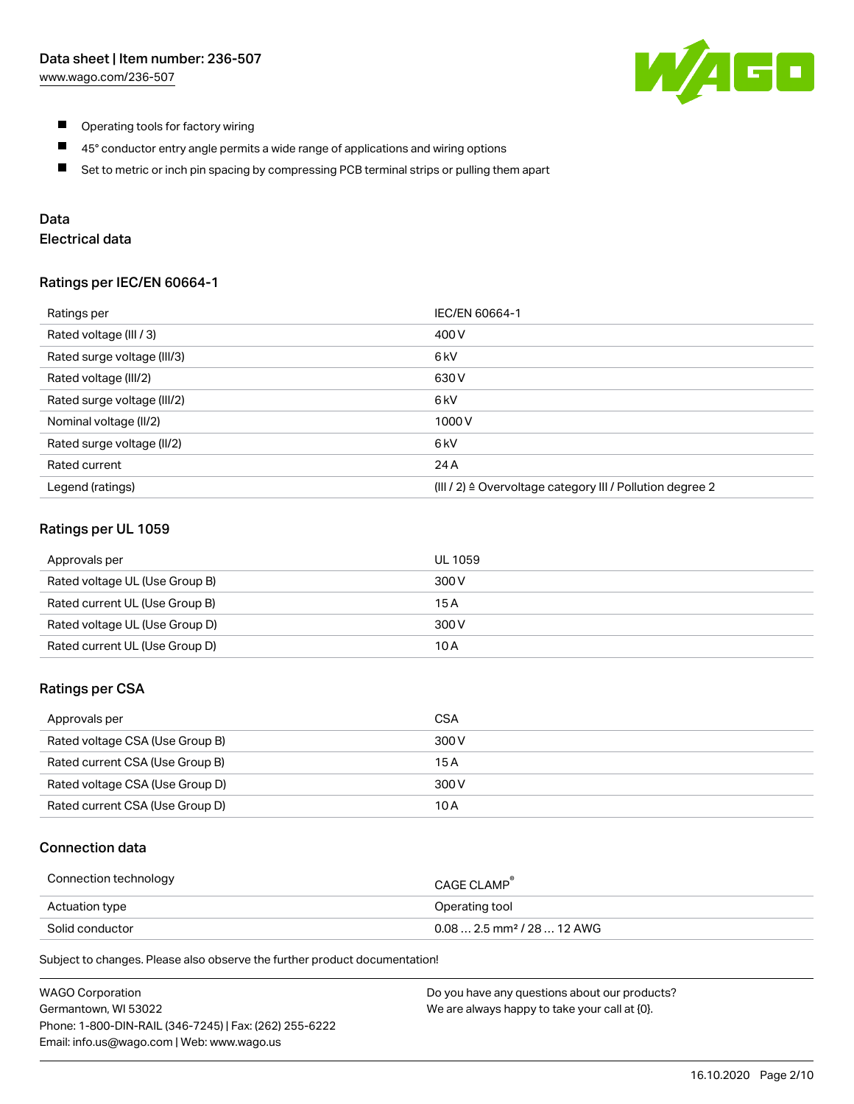

- $\blacksquare$ Operating tools for factory wiring
- $\blacksquare$ 45° conductor entry angle permits a wide range of applications and wiring options
- $\blacksquare$ Set to metric or inch pin spacing by compressing PCB terminal strips or pulling them apart

# Data

# Electrical data

#### Ratings per IEC/EN 60664-1

| Ratings per                 | IEC/EN 60664-1                                                        |
|-----------------------------|-----------------------------------------------------------------------|
| Rated voltage (III / 3)     | 400 V                                                                 |
| Rated surge voltage (III/3) | 6 <sub>kV</sub>                                                       |
| Rated voltage (III/2)       | 630 V                                                                 |
| Rated surge voltage (III/2) | 6 <sub>k</sub> V                                                      |
| Nominal voltage (II/2)      | 1000V                                                                 |
| Rated surge voltage (II/2)  | 6 kV                                                                  |
| Rated current               | 24 A                                                                  |
| Legend (ratings)            | $(III / 2)$ $\triangle$ Overvoltage category III / Pollution degree 2 |

## Ratings per UL 1059

| Approvals per                  | UL 1059 |
|--------------------------------|---------|
| Rated voltage UL (Use Group B) | 300 V   |
| Rated current UL (Use Group B) | 15 A    |
| Rated voltage UL (Use Group D) | 300 V   |
| Rated current UL (Use Group D) | 10 A    |

#### Ratings per CSA

| Approvals per                   | CSA   |
|---------------------------------|-------|
| Rated voltage CSA (Use Group B) | 300 V |
| Rated current CSA (Use Group B) | 15 A  |
| Rated voltage CSA (Use Group D) | 300 V |
| Rated current CSA (Use Group D) | 10 A  |

## Connection data

| Connection technology | CAGE CLAMP                              |
|-----------------------|-----------------------------------------|
| Actuation type        | Operating tool                          |
| Solid conductor       | $0.08$ 2.5 mm <sup>2</sup> / 28  12 AWG |

Subject to changes. Please also observe the further product documentation!

| <b>WAGO Corporation</b>                                | Do you have any questions about our products? |
|--------------------------------------------------------|-----------------------------------------------|
| Germantown, WI 53022                                   | We are always happy to take your call at {0}. |
| Phone: 1-800-DIN-RAIL (346-7245)   Fax: (262) 255-6222 |                                               |
| Email: info.us@wago.com   Web: www.wago.us             |                                               |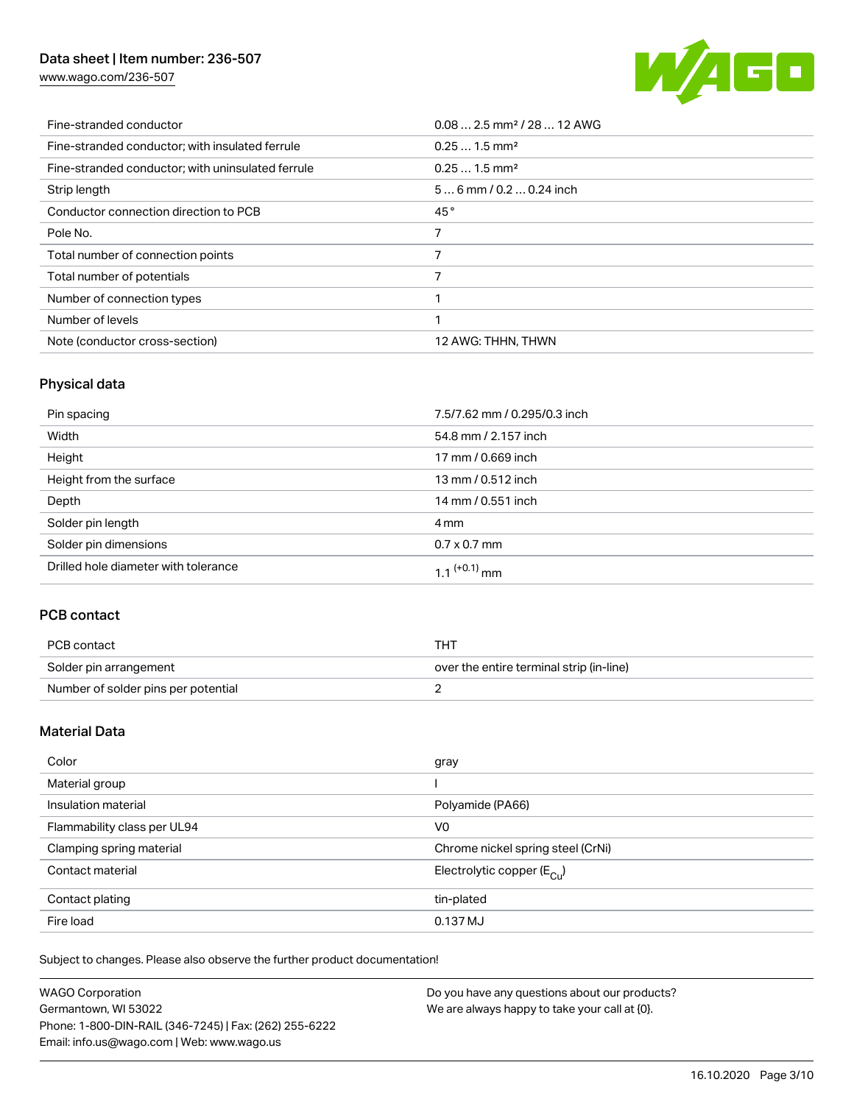[www.wago.com/236-507](http://www.wago.com/236-507)



| Fine-stranded conductor                           | $0.082.5$ mm <sup>2</sup> / 28  12 AWG |
|---------------------------------------------------|----------------------------------------|
| Fine-stranded conductor: with insulated ferrule   | $0.251.5$ mm <sup>2</sup>              |
| Fine-stranded conductor; with uninsulated ferrule | $0.251.5$ mm <sup>2</sup>              |
| Strip length                                      | $56$ mm $/ 0.20.24$ inch               |
| Conductor connection direction to PCB             | 45°                                    |
| Pole No.                                          | 7                                      |
| Total number of connection points                 |                                        |
| Total number of potentials                        |                                        |
| Number of connection types                        |                                        |
| Number of levels                                  |                                        |
| Note (conductor cross-section)                    | 12 AWG: THHN, THWN                     |

# Physical data

| Pin spacing                          | 7.5/7.62 mm / 0.295/0.3 inch |
|--------------------------------------|------------------------------|
| Width                                | 54.8 mm / 2.157 inch         |
| Height                               | 17 mm / 0.669 inch           |
| Height from the surface              | 13 mm / 0.512 inch           |
| Depth                                | 14 mm / 0.551 inch           |
| Solder pin length                    | 4 mm                         |
| Solder pin dimensions                | $0.7 \times 0.7$ mm          |
| Drilled hole diameter with tolerance | $1.1$ <sup>(+0.1)</sup> mm   |

# PCB contact

| PCB contact                         | тнт                                      |
|-------------------------------------|------------------------------------------|
| Solder pin arrangement              | over the entire terminal strip (in-line) |
| Number of solder pins per potential |                                          |

# Material Data

| Color                       | gray                                  |
|-----------------------------|---------------------------------------|
| Material group              |                                       |
| Insulation material         | Polyamide (PA66)                      |
| Flammability class per UL94 | V <sub>0</sub>                        |
| Clamping spring material    | Chrome nickel spring steel (CrNi)     |
| Contact material            | Electrolytic copper $(E_{\text{CL}})$ |
| Contact plating             | tin-plated                            |
| Fire load                   | 0.137 MJ                              |

Subject to changes. Please also observe the further product documentation!

| <b>WAGO Corporation</b>                                | Do you have any questions about our products? |
|--------------------------------------------------------|-----------------------------------------------|
| Germantown, WI 53022                                   | We are always happy to take your call at {0}. |
| Phone: 1-800-DIN-RAIL (346-7245)   Fax: (262) 255-6222 |                                               |
| Email: info.us@wago.com   Web: www.wago.us             |                                               |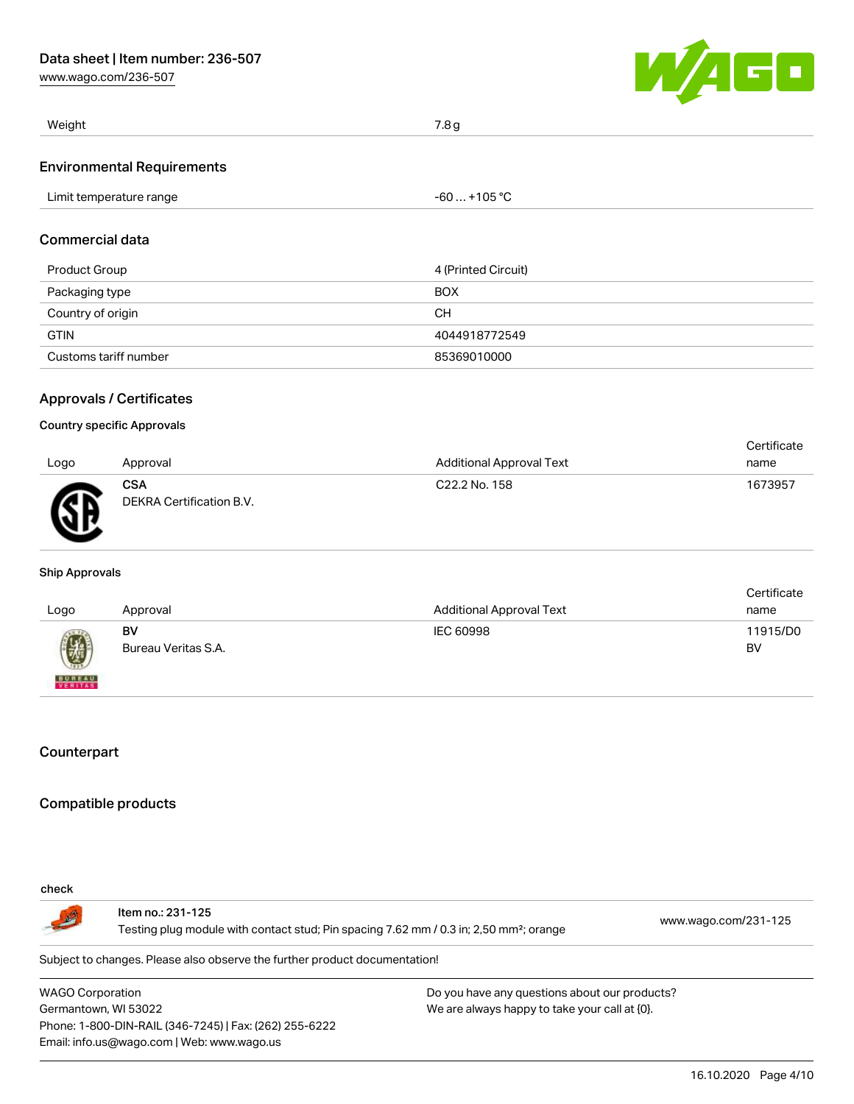[www.wago.com/236-507](http://www.wago.com/236-507)



| Weight                            | 7.8 <sub>g</sub> |
|-----------------------------------|------------------|
| <b>Environmental Requirements</b> |                  |
| Limit temperature range           | $-60+105 °C$     |
| <b>Commercial data</b>            |                  |

| Product Group         | 4 (Printed Circuit) |
|-----------------------|---------------------|
| Packaging type        | <b>BOX</b>          |
| Country of origin     | CН                  |
| <b>GTIN</b>           | 4044918772549       |
| Customs tariff number | 85369010000         |

### Approvals / Certificates

#### Country specific Approvals

|              |                                        |                           | Certificate |
|--------------|----------------------------------------|---------------------------|-------------|
| Logo         | Approval                               | Additional Approval Text  | name        |
| $\mathbb{R}$ | <b>CSA</b><br>DEKRA Certification B.V. | C <sub>22.2</sub> No. 158 | 1673957     |

#### Ship Approvals

| Logo                     | Approval                  | <b>Additional Approval Text</b> | Certificate<br>name |
|--------------------------|---------------------------|---------------------------------|---------------------|
| 9                        | BV<br>Bureau Veritas S.A. | IEC 60998                       | 11915/D0<br>BV      |
| <b>BUREAU</b><br>VERITAS |                           |                                 |                     |

# **Counterpart**

# Compatible products

#### check

Item no.: 231-125 Testing plug module with contact stud; Pin spacing 7.62 mm / 0.3 in; 2,50 mm²; orange [www.wago.com/231-125](http://www.wago.com/231-125)

Subject to changes. Please also observe the further product documentation!

WAGO Corporation Germantown, WI 53022 Phone: 1-800-DIN-RAIL (346-7245) | Fax: (262) 255-6222 Email: info.us@wago.com | Web: www.wago.us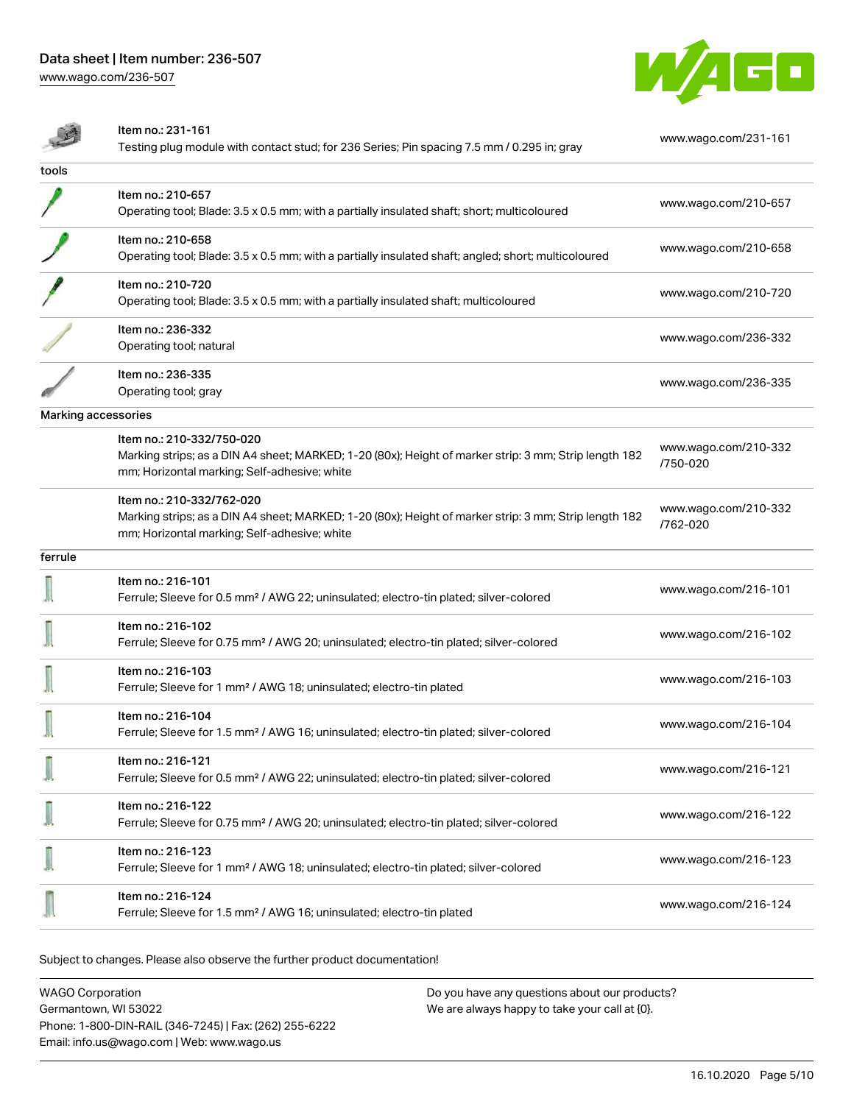[www.wago.com/236-507](http://www.wago.com/236-507)



|                            | Item no.: 231-161<br>Testing plug module with contact stud; for 236 Series; Pin spacing 7.5 mm / 0.295 in; gray                                                                    | www.wago.com/231-161             |
|----------------------------|------------------------------------------------------------------------------------------------------------------------------------------------------------------------------------|----------------------------------|
| tools                      |                                                                                                                                                                                    |                                  |
|                            | Item no.: 210-657<br>Operating tool; Blade: 3.5 x 0.5 mm; with a partially insulated shaft; short; multicoloured                                                                   | www.wago.com/210-657             |
|                            | Item no.: 210-658<br>Operating tool; Blade: 3.5 x 0.5 mm; with a partially insulated shaft; angled; short; multicoloured                                                           | www.wago.com/210-658             |
|                            | Item no.: 210-720<br>Operating tool; Blade: 3.5 x 0.5 mm; with a partially insulated shaft; multicoloured                                                                          | www.wago.com/210-720             |
|                            | Item no.: 236-332<br>Operating tool; natural                                                                                                                                       | www.wago.com/236-332             |
|                            | Item no.: 236-335<br>Operating tool; gray                                                                                                                                          | www.wago.com/236-335             |
| <b>Marking accessories</b> |                                                                                                                                                                                    |                                  |
|                            | Item no.: 210-332/750-020<br>Marking strips; as a DIN A4 sheet; MARKED; 1-20 (80x); Height of marker strip: 3 mm; Strip length 182<br>mm; Horizontal marking; Self-adhesive; white | www.wago.com/210-332<br>/750-020 |
|                            | Item no.: 210-332/762-020<br>Marking strips; as a DIN A4 sheet; MARKED; 1-20 (80x); Height of marker strip: 3 mm; Strip length 182<br>mm; Horizontal marking; Self-adhesive; white | www.wago.com/210-332<br>/762-020 |
| ferrule                    |                                                                                                                                                                                    |                                  |
|                            | Item no.: 216-101<br>Ferrule; Sleeve for 0.5 mm <sup>2</sup> / AWG 22; uninsulated; electro-tin plated; silver-colored                                                             | www.wago.com/216-101             |
|                            | Item no.: 216-102<br>Ferrule; Sleeve for 0.75 mm <sup>2</sup> / AWG 20; uninsulated; electro-tin plated; silver-colored                                                            | www.wago.com/216-102             |
|                            | Item no.: 216-103<br>Ferrule; Sleeve for 1 mm <sup>2</sup> / AWG 18; uninsulated; electro-tin plated                                                                               | www.wago.com/216-103             |
|                            | Item no.: 216-104<br>Ferrule; Sleeve for 1.5 mm <sup>2</sup> / AWG 16; uninsulated; electro-tin plated; silver-colored                                                             | www.wago.com/216-104             |
|                            | Item no.: 216-121<br>Ferrule; Sleeve for 0.5 mm <sup>2</sup> / AWG 22; uninsulated; electro-tin plated; silver-colored                                                             | www.wago.com/216-121             |
|                            | Item no.: 216-122<br>Ferrule; Sleeve for 0.75 mm <sup>2</sup> / AWG 20; uninsulated; electro-tin plated; silver-colored                                                            | www.wago.com/216-122             |
|                            | Item no.: 216-123<br>Ferrule; Sleeve for 1 mm <sup>2</sup> / AWG 18; uninsulated; electro-tin plated; silver-colored                                                               | www.wago.com/216-123             |
|                            | Item no.: 216-124<br>Ferrule; Sleeve for 1.5 mm <sup>2</sup> / AWG 16; uninsulated; electro-tin plated                                                                             | www.wago.com/216-124             |

Subject to changes. Please also observe the further product documentation!

WAGO Corporation Germantown, WI 53022 Phone: 1-800-DIN-RAIL (346-7245) | Fax: (262) 255-6222 Email: info.us@wago.com | Web: www.wago.us Do you have any questions about our products? We are always happy to take your call at {0}.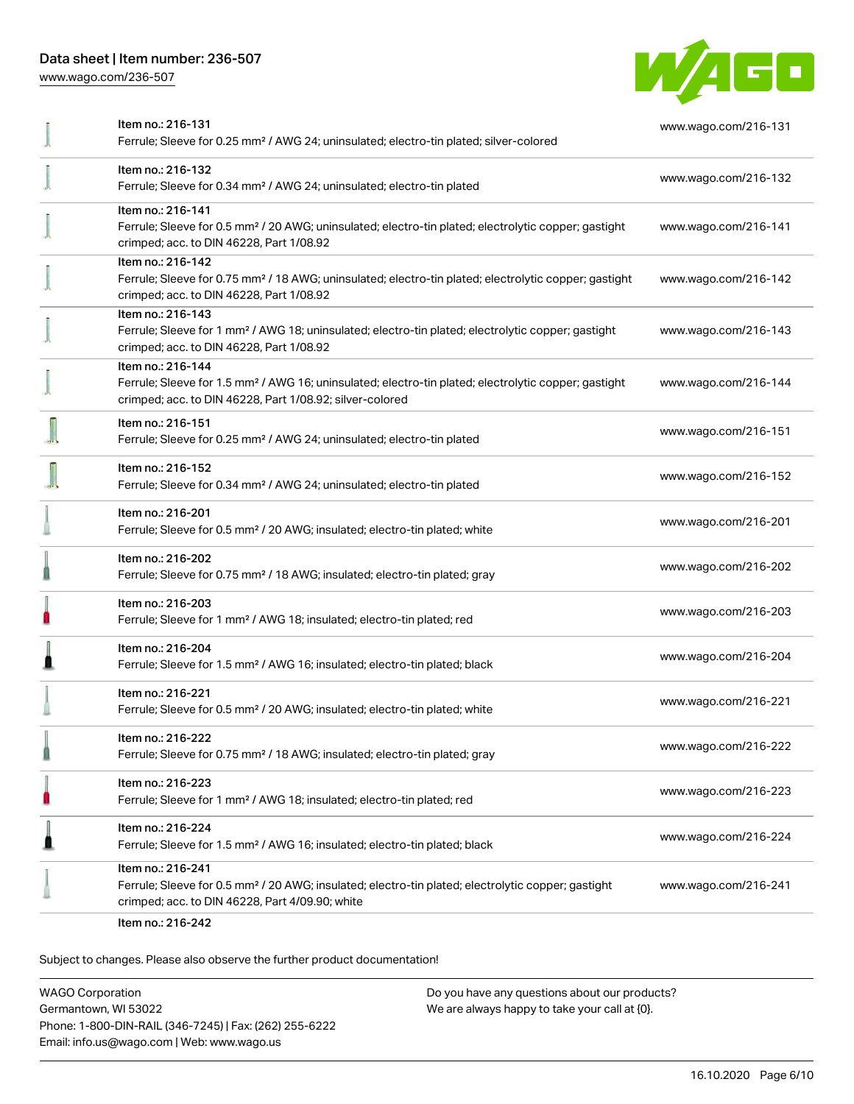[www.wago.com/236-507](http://www.wago.com/236-507)



| Item no.: 216-131<br>Ferrule; Sleeve for 0.25 mm <sup>2</sup> / AWG 24; uninsulated; electro-tin plated; silver-colored                                                                           | www.wago.com/216-131 |
|---------------------------------------------------------------------------------------------------------------------------------------------------------------------------------------------------|----------------------|
| Item no.: 216-132<br>Ferrule; Sleeve for 0.34 mm <sup>2</sup> / AWG 24; uninsulated; electro-tin plated                                                                                           | www.wago.com/216-132 |
| Item no.: 216-141<br>Ferrule; Sleeve for 0.5 mm <sup>2</sup> / 20 AWG; uninsulated; electro-tin plated; electrolytic copper; gastight<br>crimped; acc. to DIN 46228, Part 1/08.92                 | www.wago.com/216-141 |
| Item no.: 216-142<br>Ferrule; Sleeve for 0.75 mm <sup>2</sup> / 18 AWG; uninsulated; electro-tin plated; electrolytic copper; gastight<br>crimped; acc. to DIN 46228, Part 1/08.92                | www.wago.com/216-142 |
| Item no.: 216-143<br>Ferrule; Sleeve for 1 mm <sup>2</sup> / AWG 18; uninsulated; electro-tin plated; electrolytic copper; gastight<br>crimped; acc. to DIN 46228, Part 1/08.92                   | www.wago.com/216-143 |
| Item no.: 216-144<br>Ferrule; Sleeve for 1.5 mm <sup>2</sup> / AWG 16; uninsulated; electro-tin plated; electrolytic copper; gastight<br>crimped; acc. to DIN 46228, Part 1/08.92; silver-colored | www.wago.com/216-144 |
| Item no.: 216-151<br>Ferrule; Sleeve for 0.25 mm <sup>2</sup> / AWG 24; uninsulated; electro-tin plated                                                                                           | www.wago.com/216-151 |
| Item no.: 216-152<br>Ferrule; Sleeve for 0.34 mm <sup>2</sup> / AWG 24; uninsulated; electro-tin plated                                                                                           | www.wago.com/216-152 |
| Item no.: 216-201<br>Ferrule; Sleeve for 0.5 mm <sup>2</sup> / 20 AWG; insulated; electro-tin plated; white                                                                                       | www.wago.com/216-201 |
| Item no.: 216-202<br>Ferrule; Sleeve for 0.75 mm <sup>2</sup> / 18 AWG; insulated; electro-tin plated; gray                                                                                       | www.wago.com/216-202 |
| Item no.: 216-203<br>Ferrule; Sleeve for 1 mm <sup>2</sup> / AWG 18; insulated; electro-tin plated; red                                                                                           | www.wago.com/216-203 |
| Item no.: 216-204<br>Ferrule; Sleeve for 1.5 mm <sup>2</sup> / AWG 16; insulated; electro-tin plated; black                                                                                       | www.wago.com/216-204 |
| Item no.: 216-221<br>Ferrule; Sleeve for 0.5 mm <sup>2</sup> / 20 AWG; insulated; electro-tin plated; white                                                                                       | www.wago.com/216-221 |
| ltem no.: 216-222<br>Ferrule; Sleeve for 0.75 mm <sup>2</sup> / 18 AWG; insulated; electro-tin plated; gray                                                                                       | www.wago.com/216-222 |
| Item no.: 216-223<br>Ferrule; Sleeve for 1 mm <sup>2</sup> / AWG 18; insulated; electro-tin plated; red                                                                                           | www.wago.com/216-223 |
| Item no.: 216-224<br>Ferrule; Sleeve for 1.5 mm <sup>2</sup> / AWG 16; insulated; electro-tin plated; black                                                                                       | www.wago.com/216-224 |
| Item no.: 216-241<br>Ferrule; Sleeve for 0.5 mm <sup>2</sup> / 20 AWG; insulated; electro-tin plated; electrolytic copper; gastight<br>crimped; acc. to DIN 46228, Part 4/09.90; white            | www.wago.com/216-241 |
| $Homno (916-919)$                                                                                                                                                                                 |                      |

Item no.: 216-242

Subject to changes. Please also observe the further product documentation!

WAGO Corporation Germantown, WI 53022 Phone: 1-800-DIN-RAIL (346-7245) | Fax: (262) 255-6222 Email: info.us@wago.com | Web: www.wago.us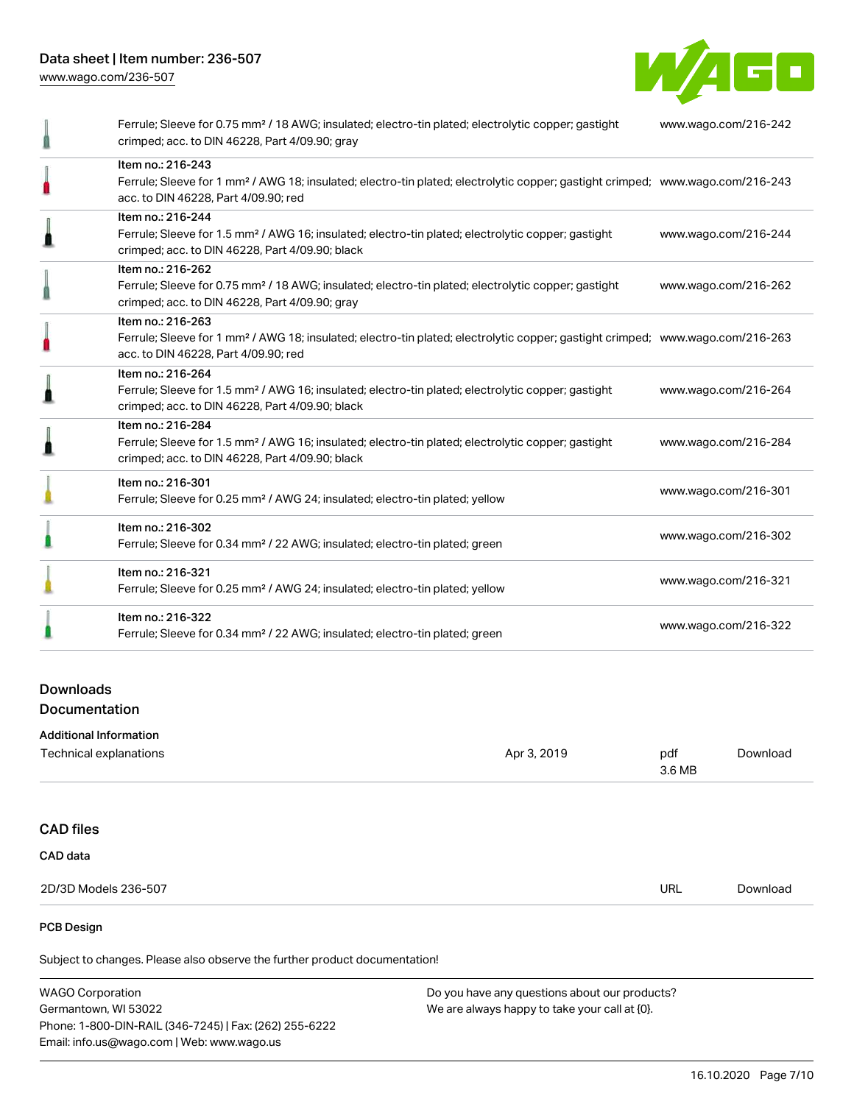Data sheet | Item number: 236-507 [www.wago.com/236-507](http://www.wago.com/236-507)



| Ferrule; Sleeve for 0.75 mm <sup>2</sup> / 18 AWG; insulated; electro-tin plated; electrolytic copper; gastight<br>crimped; acc. to DIN 46228, Part 4/09.90; gray                                       | www.wago.com/216-242 |
|---------------------------------------------------------------------------------------------------------------------------------------------------------------------------------------------------------|----------------------|
| Item no.: 216-243<br>Ferrule; Sleeve for 1 mm <sup>2</sup> / AWG 18; insulated; electro-tin plated; electrolytic copper; gastight crimped; www.wago.com/216-243<br>acc. to DIN 46228, Part 4/09.90; red |                      |
| Item no.: 216-244<br>Ferrule; Sleeve for 1.5 mm <sup>2</sup> / AWG 16; insulated; electro-tin plated; electrolytic copper; gastight<br>crimped; acc. to DIN 46228, Part 4/09.90; black                  | www.wago.com/216-244 |
| Item no.: 216-262<br>Ferrule; Sleeve for 0.75 mm <sup>2</sup> / 18 AWG; insulated; electro-tin plated; electrolytic copper; gastight<br>crimped; acc. to DIN 46228, Part 4/09.90; gray                  | www.wago.com/216-262 |
| Item no.: 216-263<br>Ferrule; Sleeve for 1 mm <sup>2</sup> / AWG 18; insulated; electro-tin plated; electrolytic copper; gastight crimped; www.wago.com/216-263<br>acc. to DIN 46228, Part 4/09.90; red |                      |
| Item no.: 216-264<br>Ferrule; Sleeve for 1.5 mm <sup>2</sup> / AWG 16; insulated; electro-tin plated; electrolytic copper; gastight<br>crimped; acc. to DIN 46228, Part 4/09.90; black                  | www.wago.com/216-264 |
| Item no.: 216-284<br>Ferrule; Sleeve for 1.5 mm <sup>2</sup> / AWG 16; insulated; electro-tin plated; electrolytic copper; gastight<br>crimped; acc. to DIN 46228, Part 4/09.90; black                  | www.wago.com/216-284 |
| Item no.: 216-301<br>Ferrule; Sleeve for 0.25 mm <sup>2</sup> / AWG 24; insulated; electro-tin plated; yellow                                                                                           | www.wago.com/216-301 |
| Item no.: 216-302<br>Ferrule; Sleeve for 0.34 mm <sup>2</sup> / 22 AWG; insulated; electro-tin plated; green                                                                                            | www.wago.com/216-302 |
| Item no.: 216-321<br>Ferrule; Sleeve for 0.25 mm <sup>2</sup> / AWG 24; insulated; electro-tin plated; yellow                                                                                           | www.wago.com/216-321 |
| Item no.: 216-322<br>Ferrule; Sleeve for 0.34 mm <sup>2</sup> / 22 AWG; insulated; electro-tin plated; green                                                                                            | www.wago.com/216-322 |

# Downloads Documentation

| <b>Additional Information</b> |             |               |          |
|-------------------------------|-------------|---------------|----------|
| Technical explanations        | Apr 3, 2019 | pdf<br>3.6 MB | Download |
|                               |             |               |          |
| <b>CAD files</b>              |             |               |          |
| CAD data                      |             |               |          |
| 2D/3D Models 236-507          |             | <b>URL</b>    | Download |
|                               |             |               |          |

#### PCB Design

Subject to changes. Please also observe the further product documentation!

WAGO Corporation Germantown, WI 53022 Phone: 1-800-DIN-RAIL (346-7245) | Fax: (262) 255-6222 Email: info.us@wago.com | Web: www.wago.us Do you have any questions about our products? We are always happy to take your call at {0}.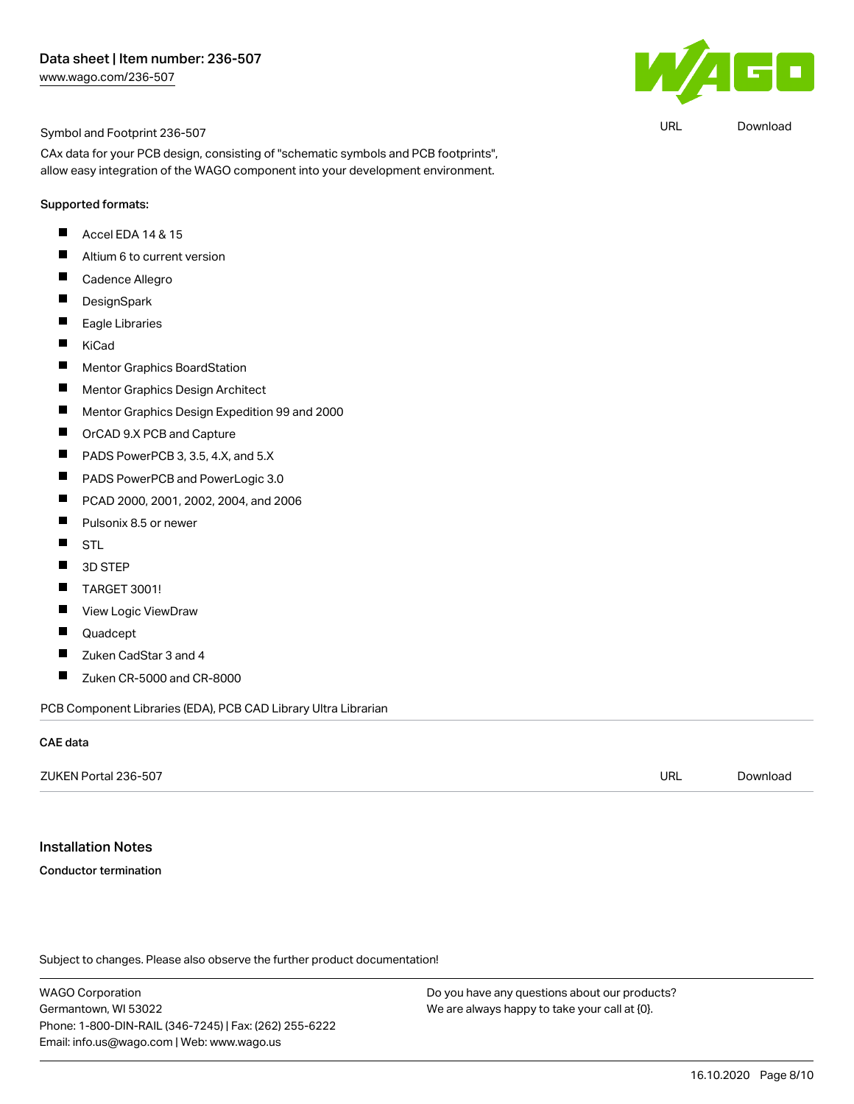

URL [Download](https://www.wago.com/us/d/UltraLibrarian_URLS_236-507)

#### Symbol and Footprint 236-507

CAx data for your PCB design, consisting of "schematic symbols and PCB footprints", allow easy integration of the WAGO component into your development environment.

#### Supported formats:

- $\blacksquare$ Accel EDA 14 & 15
- $\blacksquare$ Altium 6 to current version
- $\blacksquare$ Cadence Allegro
- $\blacksquare$ **DesignSpark**
- $\blacksquare$ Eagle Libraries
- $\blacksquare$ KiCad
- $\blacksquare$ Mentor Graphics BoardStation
- $\blacksquare$ Mentor Graphics Design Architect
- $\blacksquare$ Mentor Graphics Design Expedition 99 and 2000
- $\blacksquare$ OrCAD 9.X PCB and Capture
- $\blacksquare$ PADS PowerPCB 3, 3.5, 4.X, and 5.X
- $\blacksquare$ PADS PowerPCB and PowerLogic 3.0
- $\blacksquare$ PCAD 2000, 2001, 2002, 2004, and 2006
- $\blacksquare$ Pulsonix 8.5 or newer
- $\blacksquare$ STL
- $\blacksquare$ 3D STEP
- $\blacksquare$ TARGET 3001!
- $\blacksquare$ View Logic ViewDraw
- П Quadcept
- $\blacksquare$ Zuken CadStar 3 and 4
- $\blacksquare$ Zuken CR-5000 and CR-8000

PCB Component Libraries (EDA), PCB CAD Library Ultra Librarian

#### CAE data

| ZUKEN Portal 236-507 | url | Download |
|----------------------|-----|----------|
|                      |     |          |

#### Installation Notes

#### Conductor termination

Subject to changes. Please also observe the further product documentation!

WAGO Corporation Germantown, WI 53022 Phone: 1-800-DIN-RAIL (346-7245) | Fax: (262) 255-6222 Email: info.us@wago.com | Web: www.wago.us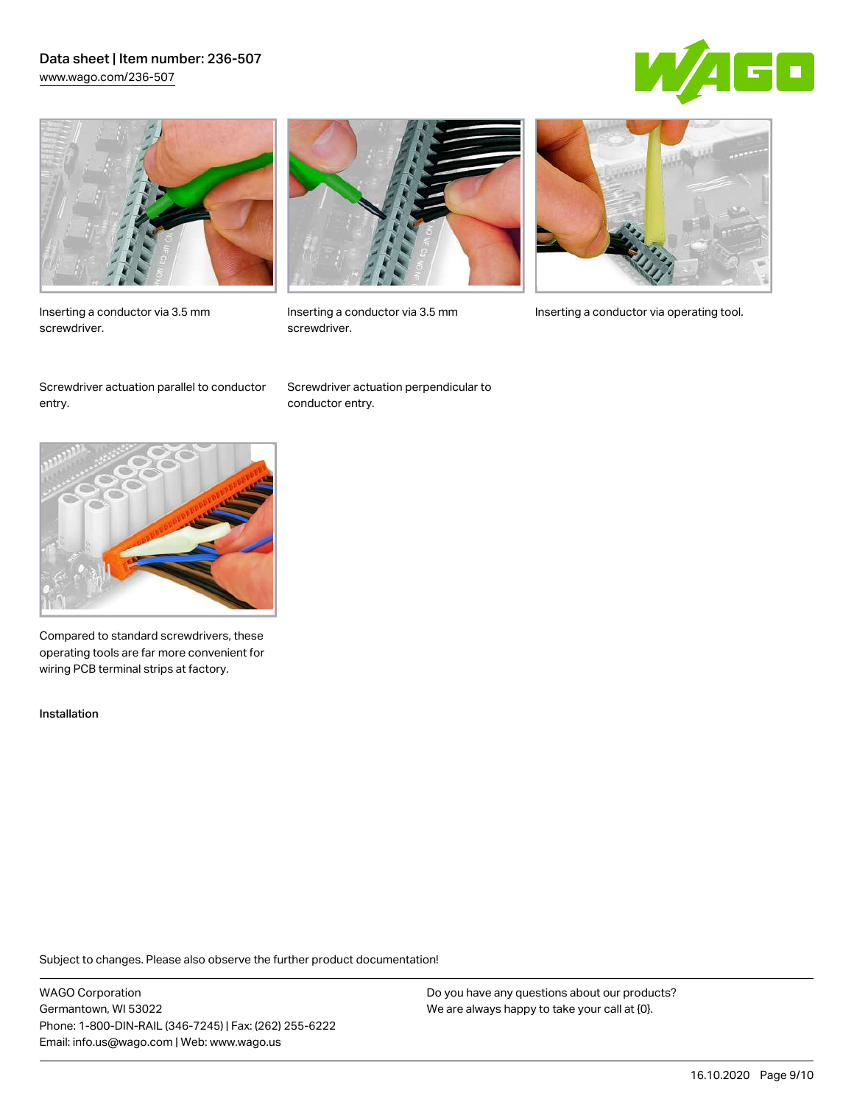## Data sheet | Item number: 236-507 [www.wago.com/236-507](http://www.wago.com/236-507)





Inserting a conductor via 3.5 mm screwdriver.



screwdriver.

Inserting a conductor via 3.5 mm Inserting a conductor via operating tool.

Screwdriver actuation parallel to conductor entry.

Screwdriver actuation perpendicular to conductor entry.



Compared to standard screwdrivers, these operating tools are far more convenient for wiring PCB terminal strips at factory.

Installation

Subject to changes. Please also observe the further product documentation!

WAGO Corporation Germantown, WI 53022 Phone: 1-800-DIN-RAIL (346-7245) | Fax: (262) 255-6222 Email: info.us@wago.com | Web: www.wago.us